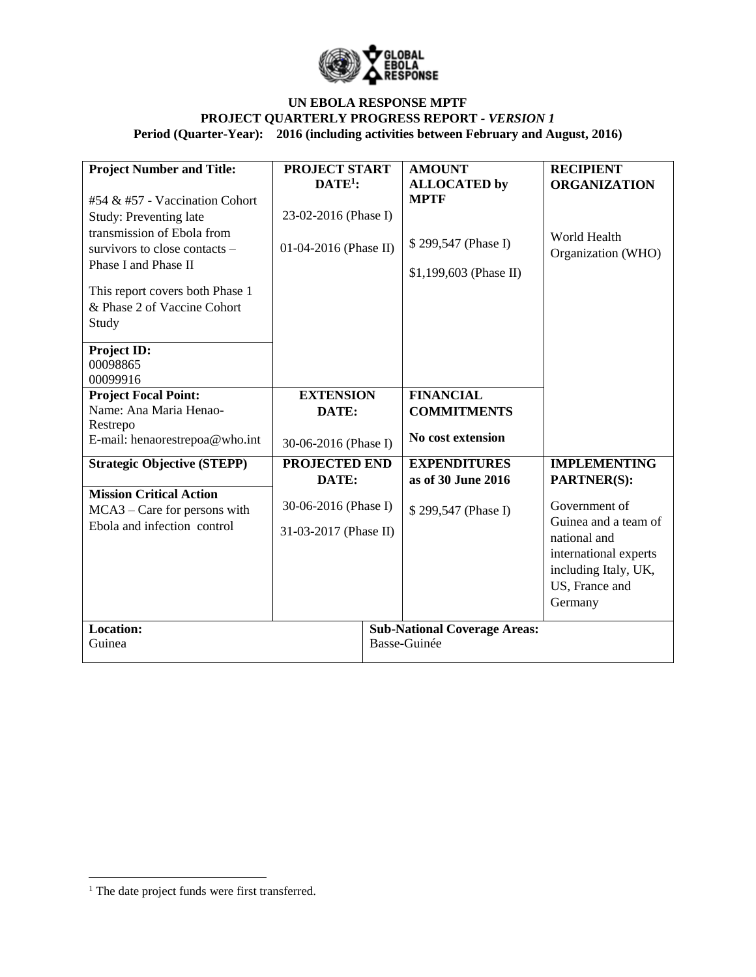

| <b>Project Number and Title:</b>        | <b>PROJECT START</b>  |  | <b>AMOUNT</b>                       | <b>RECIPIENT</b>                     |
|-----------------------------------------|-----------------------|--|-------------------------------------|--------------------------------------|
|                                         | $DATE1$ :             |  | <b>ALLOCATED</b> by                 | <b>ORGANIZATION</b>                  |
| #54 & #57 - Vaccination Cohort          |                       |  | <b>MPTF</b>                         |                                      |
| Study: Preventing late                  | 23-02-2016 (Phase I)  |  |                                     |                                      |
| transmission of Ebola from              |                       |  | \$299,547 (Phase I)                 | World Health                         |
| survivors to close contacts –           | 01-04-2016 (Phase II) |  |                                     | Organization (WHO)                   |
| Phase I and Phase II                    |                       |  | $$1,199,603$ (Phase II)             |                                      |
| This report covers both Phase 1         |                       |  |                                     |                                      |
| & Phase 2 of Vaccine Cohort             |                       |  |                                     |                                      |
| Study                                   |                       |  |                                     |                                      |
|                                         |                       |  |                                     |                                      |
| Project ID:                             |                       |  |                                     |                                      |
| 00098865                                |                       |  |                                     |                                      |
| 00099916<br><b>Project Focal Point:</b> | <b>EXTENSION</b>      |  | <b>FINANCIAL</b>                    |                                      |
| Name: Ana Maria Henao-                  | DATE:                 |  | <b>COMMITMENTS</b>                  |                                      |
| Restrepo                                |                       |  |                                     |                                      |
| E-mail: henaorestrepoa@who.int          | 30-06-2016 (Phase I)  |  | No cost extension                   |                                      |
| <b>Strategic Objective (STEPP)</b>      | <b>PROJECTED END</b>  |  | <b>EXPENDITURES</b>                 | <b>IMPLEMENTING</b>                  |
|                                         | DATE:                 |  | as of 30 June 2016                  | <b>PARTNER(S):</b>                   |
| <b>Mission Critical Action</b>          |                       |  |                                     |                                      |
| MCA3 – Care for persons with            | 30-06-2016 (Phase I)  |  | \$299,547 (Phase I)                 | Government of                        |
| Ebola and infection control             | 31-03-2017 (Phase II) |  |                                     | Guinea and a team of<br>national and |
|                                         |                       |  |                                     | international experts                |
|                                         |                       |  |                                     | including Italy, UK,                 |
|                                         |                       |  |                                     | US, France and                       |
|                                         |                       |  |                                     | Germany                              |
|                                         |                       |  |                                     |                                      |
| <b>Location:</b>                        |                       |  | <b>Sub-National Coverage Areas:</b> |                                      |
| Guinea                                  |                       |  | Basse-Guinée                        |                                      |

 $\overline{\phantom{a}}$ 

<sup>&</sup>lt;sup>1</sup> The date project funds were first transferred.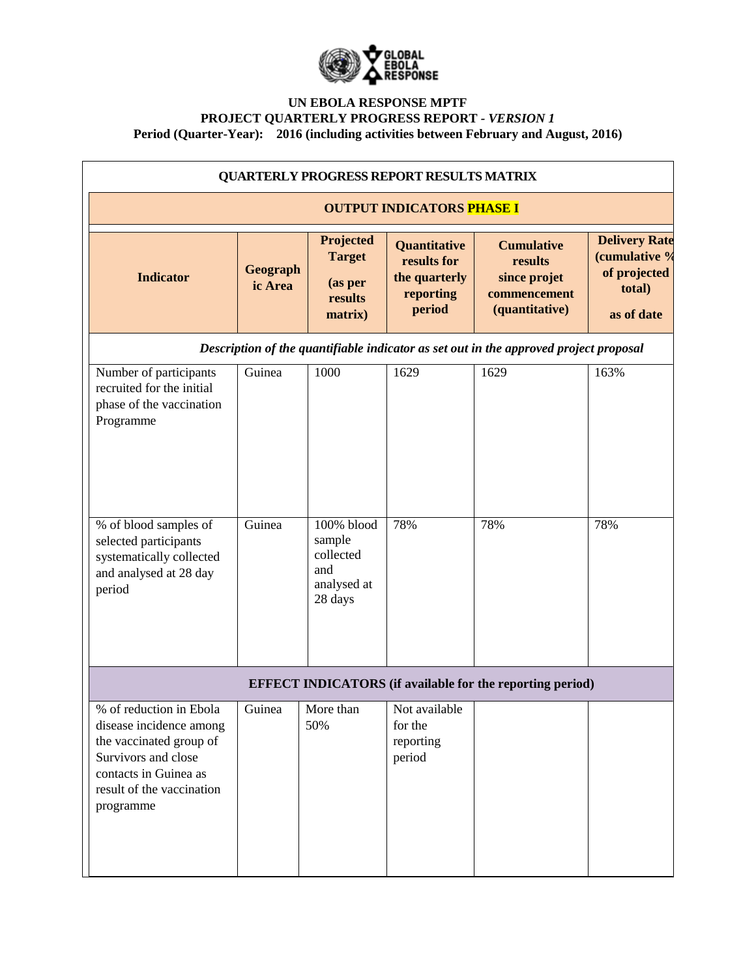

| <b>QUARTERLY PROGRESS REPORT RESULTS MATRIX</b>                                                                                                                         |                     |                                                                    |                                                                            |                                                                                       |                                                                               |
|-------------------------------------------------------------------------------------------------------------------------------------------------------------------------|---------------------|--------------------------------------------------------------------|----------------------------------------------------------------------------|---------------------------------------------------------------------------------------|-------------------------------------------------------------------------------|
| <b>OUTPUT INDICATORS PHASE I</b>                                                                                                                                        |                     |                                                                    |                                                                            |                                                                                       |                                                                               |
| <b>Indicator</b>                                                                                                                                                        | Geograph<br>ic Area | Projected<br><b>Target</b><br>(as per<br>results<br>matrix)        | <b>Quantitative</b><br>results for<br>the quarterly<br>reporting<br>period | <b>Cumulative</b><br>results<br>since projet<br>commencement<br>(quantitative)        | <b>Delivery Rate</b><br>(cumulative %<br>of projected<br>total)<br>as of date |
|                                                                                                                                                                         |                     |                                                                    |                                                                            | Description of the quantifiable indicator as set out in the approved project proposal |                                                                               |
| Number of participants<br>recruited for the initial<br>phase of the vaccination<br>Programme                                                                            | Guinea              | 1000                                                               | 1629                                                                       | 1629                                                                                  | 163%                                                                          |
| % of blood samples of<br>selected participants<br>systematically collected<br>and analysed at 28 day<br>period                                                          | Guinea              | 100% blood<br>sample<br>collected<br>and<br>analysed at<br>28 days | 78%                                                                        | 78%                                                                                   | 78%                                                                           |
| <b>EFFECT INDICATORS</b> (if available for the reporting period)                                                                                                        |                     |                                                                    |                                                                            |                                                                                       |                                                                               |
| % of reduction in Ebola<br>disease incidence among<br>the vaccinated group of<br>Survivors and close<br>contacts in Guinea as<br>result of the vaccination<br>programme | Guinea              | More than<br>50%                                                   | Not available<br>for the<br>reporting<br>period                            |                                                                                       |                                                                               |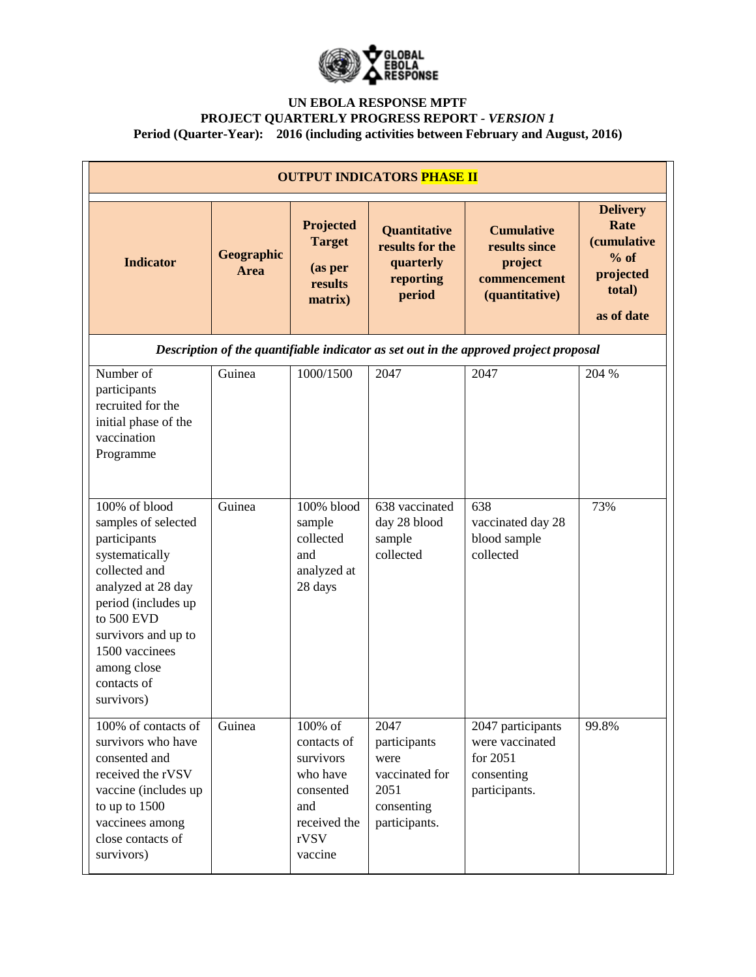

| <b>OUTPUT INDICATORS PHASE II</b>                                                                                                                                                                                                       |                           |                                                                                                        |                                                                                       |                                                                                       |                                                                                              |
|-----------------------------------------------------------------------------------------------------------------------------------------------------------------------------------------------------------------------------------------|---------------------------|--------------------------------------------------------------------------------------------------------|---------------------------------------------------------------------------------------|---------------------------------------------------------------------------------------|----------------------------------------------------------------------------------------------|
| <b>Indicator</b>                                                                                                                                                                                                                        | Geographic<br><b>Area</b> | Projected<br><b>Target</b><br>(as per<br>results<br>matrix)                                            | Quantitative<br>results for the<br>quarterly<br>reporting<br>period                   | <b>Cumulative</b><br>results since<br>project<br>commencement<br>(quantitative)       | <b>Delivery</b><br>Rate<br><i>(cumulative</i><br>$%$ of<br>projected<br>total)<br>as of date |
|                                                                                                                                                                                                                                         |                           |                                                                                                        |                                                                                       | Description of the quantifiable indicator as set out in the approved project proposal |                                                                                              |
| Number of<br>participants<br>recruited for the<br>initial phase of the<br>vaccination<br>Programme                                                                                                                                      | Guinea                    | 1000/1500                                                                                              | 2047                                                                                  | 2047                                                                                  | 204 %                                                                                        |
| 100% of blood<br>samples of selected<br>participants<br>systematically<br>collected and<br>analyzed at 28 day<br>period (includes up<br>to 500 EVD<br>survivors and up to<br>1500 vaccinees<br>among close<br>contacts of<br>survivors) | Guinea                    | 100% blood<br>sample<br>collected<br>and<br>analyzed at<br>28 days                                     | 638 vaccinated<br>day 28 blood<br>sample<br>collected                                 | 638<br>vaccinated day 28<br>blood sample<br>collected                                 | 73%                                                                                          |
| 100% of contacts of<br>survivors who have<br>consented and<br>received the rVSV<br>vaccine (includes up<br>to up to 1500<br>vaccinees among<br>close contacts of<br>survivors)                                                          | Guinea                    | 100% of<br>contacts of<br>survivors<br>who have<br>consented<br>and<br>received the<br>rVSV<br>vaccine | 2047<br>participants<br>were<br>vaccinated for<br>2051<br>consenting<br>participants. | 2047 participants<br>were vaccinated<br>for 2051<br>consenting<br>participants.       | 99.8%                                                                                        |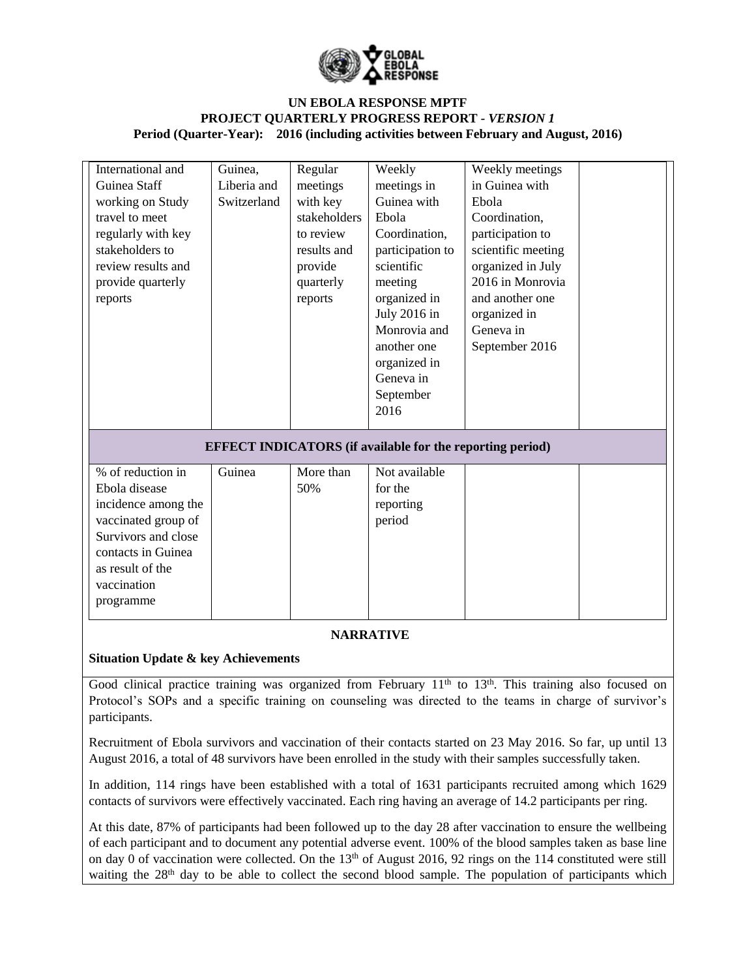

| International and<br>Guinea Staff<br>working on Study<br>travel to meet<br>regularly with key<br>stakeholders to<br>review results and<br>provide quarterly<br>reports          | Guinea,<br>Liberia and<br>Switzerland | Regular<br>meetings<br>with key<br>stakeholders<br>to review<br>results and<br>provide<br>quarterly<br>reports | Weekly<br>meetings in<br>Guinea with<br>Ebola<br>Coordination,<br>participation to<br>scientific<br>meeting<br>organized in<br>July 2016 in<br>Monrovia and<br>another one<br>organized in<br>Geneva in<br>September<br>2016 | Weekly meetings<br>in Guinea with<br>Ebola<br>Coordination,<br>participation to<br>scientific meeting<br>organized in July<br>2016 in Monrovia<br>and another one<br>organized in<br>Geneva in<br>September 2016 |  |
|---------------------------------------------------------------------------------------------------------------------------------------------------------------------------------|---------------------------------------|----------------------------------------------------------------------------------------------------------------|------------------------------------------------------------------------------------------------------------------------------------------------------------------------------------------------------------------------------|------------------------------------------------------------------------------------------------------------------------------------------------------------------------------------------------------------------|--|
| <b>EFFECT INDICATORS</b> (if available for the reporting period)                                                                                                                |                                       |                                                                                                                |                                                                                                                                                                                                                              |                                                                                                                                                                                                                  |  |
| $%$ of reduction in<br>Ebola disease<br>incidence among the<br>vaccinated group of<br>Survivors and close<br>contacts in Guinea<br>as result of the<br>vaccination<br>programme | Guinea                                | More than<br>50%                                                                                               | Not available<br>for the<br>reporting<br>period                                                                                                                                                                              |                                                                                                                                                                                                                  |  |

## **NARRATIVE**

## **Situation Update & key Achievements**

Good clinical practice training was organized from February 11<sup>th</sup> to 13<sup>th</sup>. This training also focused on Protocol's SOPs and a specific training on counseling was directed to the teams in charge of survivor's participants.

Recruitment of Ebola survivors and vaccination of their contacts started on 23 May 2016. So far, up until 13 August 2016, a total of 48 survivors have been enrolled in the study with their samples successfully taken.

In addition, 114 rings have been established with a total of 1631 participants recruited among which 1629 contacts of survivors were effectively vaccinated. Each ring having an average of 14.2 participants per ring.

At this date, 87% of participants had been followed up to the day 28 after vaccination to ensure the wellbeing of each participant and to document any potential adverse event. 100% of the blood samples taken as base line on day 0 of vaccination were collected. On the 13<sup>th</sup> of August 2016, 92 rings on the 114 constituted were still waiting the 28<sup>th</sup> day to be able to collect the second blood sample. The population of participants which